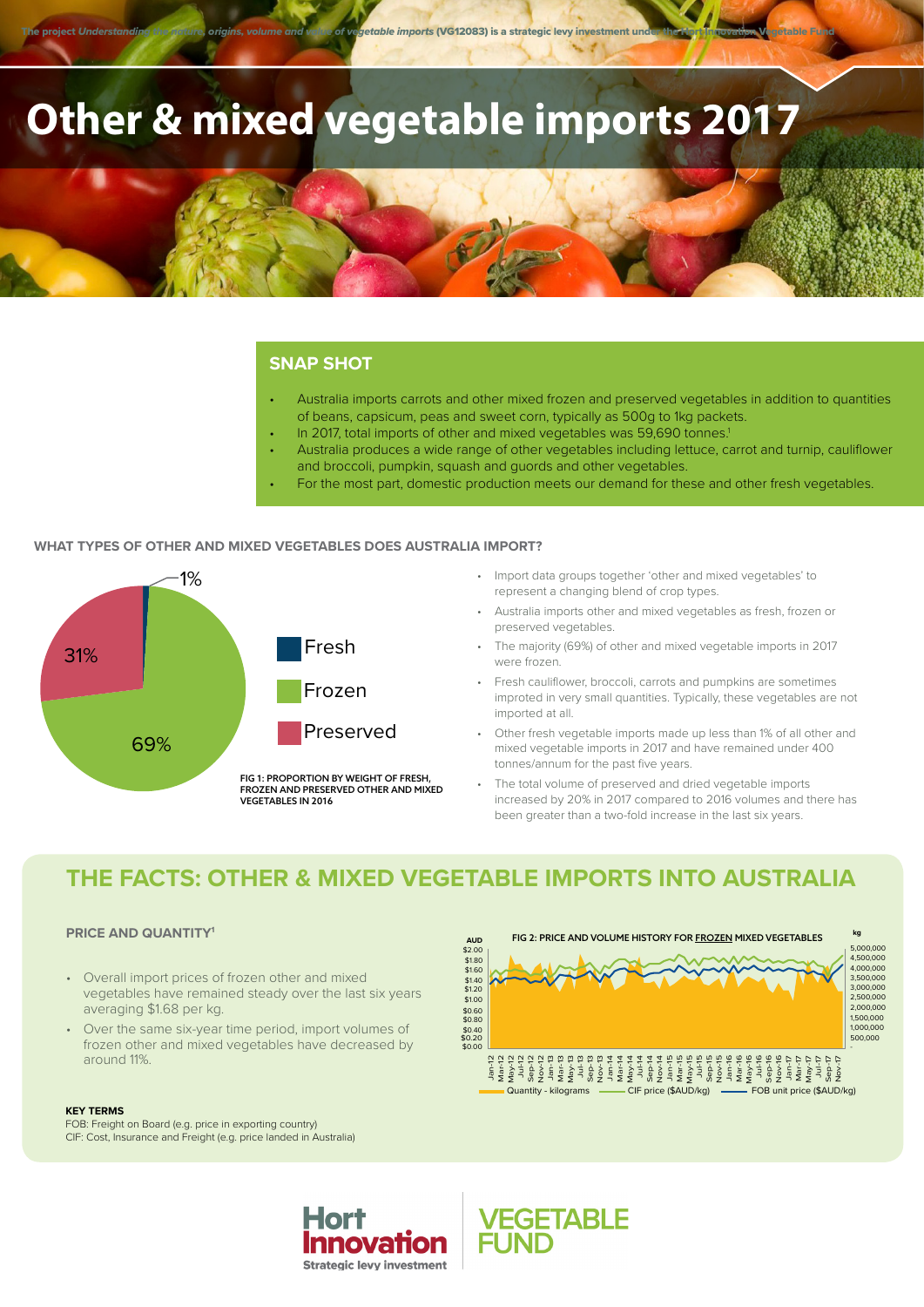The project *Understanding the nature, origins, volume and value of vegetable imports (VG12083) is a strategic levy investment und* 

# **Other & mixed vegetable imports 2017**

#### **SNAP SHOT**

- Australia imports carrots and other mixed frozen and preserved vegetables in addition to quantities of beans, capsicum, peas and sweet corn, typically as 500g to 1kg packets.
- In 2017, total imports of other and mixed vegetables was 59,690 tonnes.<sup>1</sup>
- Australia produces a wide range of other vegetables including lettuce, carrot and turnip, cauliflower and broccoli, pumpkin, squash and guords and other vegetables.
- For the most part, domestic production meets our demand for these and other fresh vegetables.

#### **WHAT TYPES OF OTHER AND MIXED VEGETABLES DOES AUSTRALIA IMPORT?**



- Import data groups together 'other and mixed vegetables' to represent a changing blend of crop types.
- Australia imports other and mixed vegetables as fresh, frozen or preserved vegetables.
- The majority (69%) of other and mixed vegetable imports in 2017 were frozen.
- Fresh cauliflower, broccoli, carrots and pumpkins are sometimes improted in very small quantities. Typically, these vegetables are not imported at all.
- Other fresh vegetable imports made up less than 1% of all other and mixed vegetable imports in 2017 and have remained under 400 tonnes/annum for the past five years.
- The total volume of preserved and dried vegetable imports increased by 20% in 2017 compared to 2016 volumes and there has been greater than a two-fold increase in the last six years.

### **THE FACTS: OTHER & MIXED VEGETABLE IMPORTS INTO AUSTRALIA**

#### **PRICE AND QUANTITY1**

- Overall import prices of frozen other and mixed vegetables have remained steady over the last six years averaging \$1.68 per kg.
- Over the same six-year time period, import volumes of frozen other and mixed vegetables have decreased by around 11%.

#### **KEY TERMS**

FOB: Freight on Board (e.g. price in exporting country) CIF: Cost, Insurance and Freight (e.g. price landed in Australia)



**VEGETABLE**